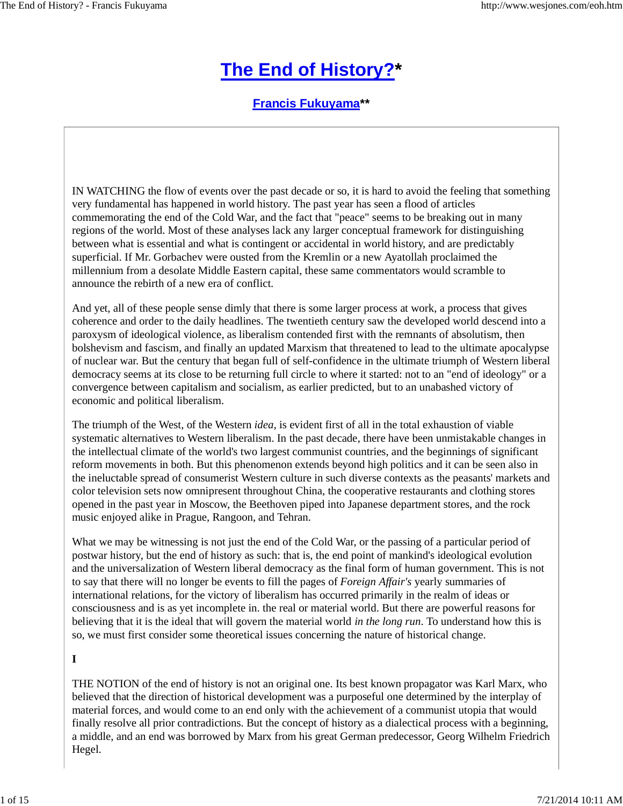# **The End of History?\***

# **Francis Fukuyama\*\***

IN WATCHING the flow of events over the past decade or so, it is hard to avoid the feeling that something very fundamental has happened in world history. The past year has seen a flood of articles commemorating the end of the Cold War, and the fact that "peace" seems to be breaking out in many regions of the world. Most of these analyses lack any larger conceptual framework for distinguishing between what is essential and what is contingent or accidental in world history, and are predictably superficial. If Mr. Gorbachev were ousted from the Kremlin or a new Ayatollah proclaimed the millennium from a desolate Middle Eastern capital, these same commentators would scramble to announce the rebirth of a new era of conflict.

And yet, all of these people sense dimly that there is some larger process at work, a process that gives coherence and order to the daily headlines. The twentieth century saw the developed world descend into a paroxysm of ideological violence, as liberalism contended first with the remnants of absolutism, then bolshevism and fascism, and finally an updated Marxism that threatened to lead to the ultimate apocalypse of nuclear war. But the century that began full of self-confidence in the ultimate triumph of Western liberal democracy seems at its close to be returning full circle to where it started: not to an "end of ideology" or a convergence between capitalism and socialism, as earlier predicted, but to an unabashed victory of economic and political liberalism.

The triumph of the West, of the Western *idea*, is evident first of all in the total exhaustion of viable systematic alternatives to Western liberalism. In the past decade, there have been unmistakable changes in the intellectual climate of the world's two largest communist countries, and the beginnings of significant reform movements in both. But this phenomenon extends beyond high politics and it can be seen also in the ineluctable spread of consumerist Western culture in such diverse contexts as the peasants' markets and color television sets now omnipresent throughout China, the cooperative restaurants and clothing stores opened in the past year in Moscow, the Beethoven piped into Japanese department stores, and the rock music enjoyed alike in Prague, Rangoon, and Tehran.

What we may be witnessing is not just the end of the Cold War, or the passing of a particular period of postwar history, but the end of history as such: that is, the end point of mankind's ideological evolution and the universalization of Western liberal democracy as the final form of human government. This is not to say that there will no longer be events to fill the pages of *Foreign Affair's* yearly summaries of international relations, for the victory of liberalism has occurred primarily in the realm of ideas or consciousness and is as yet incomplete in. the real or material world. But there are powerful reasons for believing that it is the ideal that will govern the material world *in the long run*. To understand how this is so, we must first consider some theoretical issues concerning the nature of historical change.

#### **I**

THE NOTION of the end of history is not an original one. Its best known propagator was Karl Marx, who believed that the direction of historical development was a purposeful one determined by the interplay of material forces, and would come to an end only with the achievement of a communist utopia that would finally resolve all prior contradictions. But the concept of history as a dialectical process with a beginning, a middle, and an end was borrowed by Marx from his great German predecessor, Georg Wilhelm Friedrich Hegel.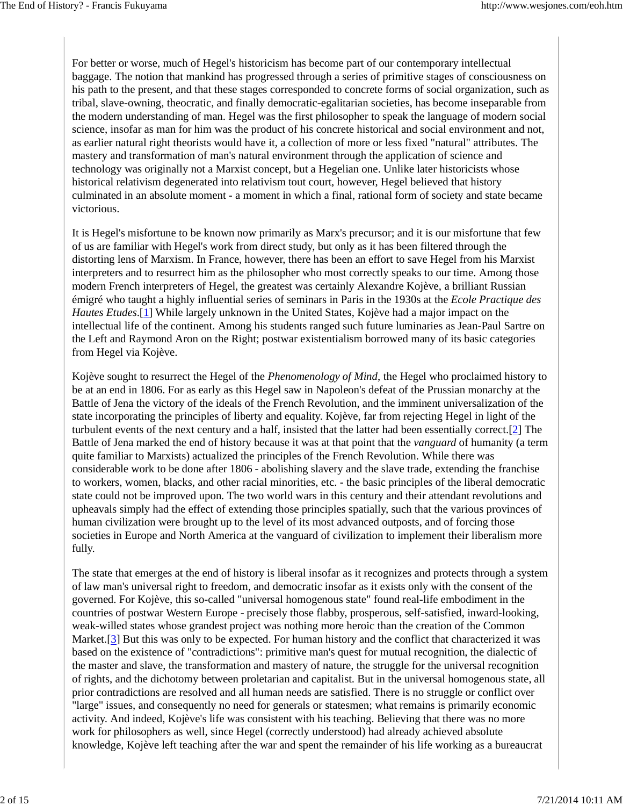For better or worse, much of Hegel's historicism has become part of our contemporary intellectual baggage. The notion that mankind has progressed through a series of primitive stages of consciousness on his path to the present, and that these stages corresponded to concrete forms of social organization, such as tribal, slave-owning, theocratic, and finally democratic-egalitarian societies, has become inseparable from the modern understanding of man. Hegel was the first philosopher to speak the language of modern social science, insofar as man for him was the product of his concrete historical and social environment and not, as earlier natural right theorists would have it, a collection of more or less fixed "natural" attributes. The mastery and transformation of man's natural environment through the application of science and technology was originally not a Marxist concept, but a Hegelian one. Unlike later historicists whose historical relativism degenerated into relativism tout court, however, Hegel believed that history culminated in an absolute moment - a moment in which a final, rational form of society and state became victorious.

It is Hegel's misfortune to be known now primarily as Marx's precursor; and it is our misfortune that few of us are familiar with Hegel's work from direct study, but only as it has been filtered through the distorting lens of Marxism. In France, however, there has been an effort to save Hegel from his Marxist interpreters and to resurrect him as the philosopher who most correctly speaks to our time. Among those modern French interpreters of Hegel, the greatest was certainly Alexandre Kojève, a brilliant Russian émigré who taught a highly influential series of seminars in Paris in the 1930s at the *Ecole Practique des Hautes Etudes*.[1] While largely unknown in the United States, Kojève had a major impact on the intellectual life of the continent. Among his students ranged such future luminaries as Jean-Paul Sartre on the Left and Raymond Aron on the Right; postwar existentialism borrowed many of its basic categories from Hegel via Kojève.

Kojève sought to resurrect the Hegel of the *Phenomenology of Mind*, the Hegel who proclaimed history to be at an end in 1806. For as early as this Hegel saw in Napoleon's defeat of the Prussian monarchy at the Battle of Jena the victory of the ideals of the French Revolution, and the imminent universalization of the state incorporating the principles of liberty and equality. Kojève, far from rejecting Hegel in light of the turbulent events of the next century and a half, insisted that the latter had been essentially correct.[2] The Battle of Jena marked the end of history because it was at that point that the *vanguard* of humanity (a term quite familiar to Marxists) actualized the principles of the French Revolution. While there was considerable work to be done after 1806 - abolishing slavery and the slave trade, extending the franchise to workers, women, blacks, and other racial minorities, etc. - the basic principles of the liberal democratic state could not be improved upon. The two world wars in this century and their attendant revolutions and upheavals simply had the effect of extending those principles spatially, such that the various provinces of human civilization were brought up to the level of its most advanced outposts, and of forcing those societies in Europe and North America at the vanguard of civilization to implement their liberalism more fully.

The state that emerges at the end of history is liberal insofar as it recognizes and protects through a system of law man's universal right to freedom, and democratic insofar as it exists only with the consent of the governed. For Kojève, this so-called "universal homogenous state" found real-life embodiment in the countries of postwar Western Europe - precisely those flabby, prosperous, self-satisfied, inward-looking, weak-willed states whose grandest project was nothing more heroic than the creation of the Common Market.[3] But this was only to be expected. For human history and the conflict that characterized it was based on the existence of "contradictions": primitive man's quest for mutual recognition, the dialectic of the master and slave, the transformation and mastery of nature, the struggle for the universal recognition of rights, and the dichotomy between proletarian and capitalist. But in the universal homogenous state, all prior contradictions are resolved and all human needs are satisfied. There is no struggle or conflict over "large" issues, and consequently no need for generals or statesmen; what remains is primarily economic activity. And indeed, Kojève's life was consistent with his teaching. Believing that there was no more work for philosophers as well, since Hegel (correctly understood) had already achieved absolute knowledge, Kojève left teaching after the war and spent the remainder of his life working as a bureaucrat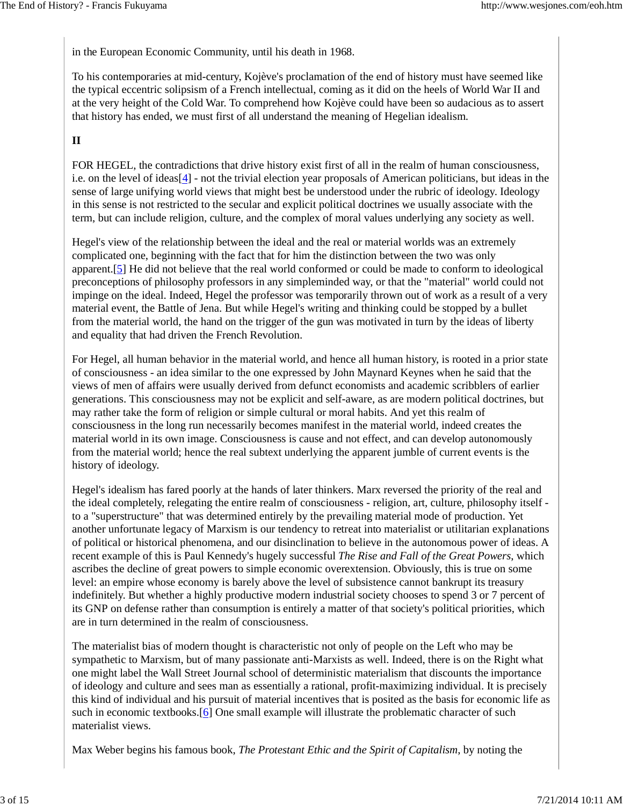in the European Economic Community, until his death in 1968.

To his contemporaries at mid-century, Kojève's proclamation of the end of history must have seemed like the typical eccentric solipsism of a French intellectual, coming as it did on the heels of World War II and at the very height of the Cold War. To comprehend how Kojève could have been so audacious as to assert that history has ended, we must first of all understand the meaning of Hegelian idealism.

## **II**

FOR HEGEL, the contradictions that drive history exist first of all in the realm of human consciousness, i.e. on the level of ideas[4] - not the trivial election year proposals of American politicians, but ideas in the sense of large unifying world views that might best be understood under the rubric of ideology. Ideology in this sense is not restricted to the secular and explicit political doctrines we usually associate with the term, but can include religion, culture, and the complex of moral values underlying any society as well.

Hegel's view of the relationship between the ideal and the real or material worlds was an extremely complicated one, beginning with the fact that for him the distinction between the two was only apparent.[5] He did not believe that the real world conformed or could be made to conform to ideological preconceptions of philosophy professors in any simpleminded way, or that the "material" world could not impinge on the ideal. Indeed, Hegel the professor was temporarily thrown out of work as a result of a very material event, the Battle of Jena. But while Hegel's writing and thinking could be stopped by a bullet from the material world, the hand on the trigger of the gun was motivated in turn by the ideas of liberty and equality that had driven the French Revolution.

For Hegel, all human behavior in the material world, and hence all human history, is rooted in a prior state of consciousness - an idea similar to the one expressed by John Maynard Keynes when he said that the views of men of affairs were usually derived from defunct economists and academic scribblers of earlier generations. This consciousness may not be explicit and self-aware, as are modern political doctrines, but may rather take the form of religion or simple cultural or moral habits. And yet this realm of consciousness in the long run necessarily becomes manifest in the material world, indeed creates the material world in its own image. Consciousness is cause and not effect, and can develop autonomously from the material world; hence the real subtext underlying the apparent jumble of current events is the history of ideology.

Hegel's idealism has fared poorly at the hands of later thinkers. Marx reversed the priority of the real and the ideal completely, relegating the entire realm of consciousness - religion, art, culture, philosophy itself to a "superstructure" that was determined entirely by the prevailing material mode of production. Yet another unfortunate legacy of Marxism is our tendency to retreat into materialist or utilitarian explanations of political or historical phenomena, and our disinclination to believe in the autonomous power of ideas. A recent example of this is Paul Kennedy's hugely successful *The Rise and Fall of the Great Powers*, which ascribes the decline of great powers to simple economic overextension. Obviously, this is true on some level: an empire whose economy is barely above the level of subsistence cannot bankrupt its treasury indefinitely. But whether a highly productive modern industrial society chooses to spend 3 or 7 percent of its GNP on defense rather than consumption is entirely a matter of that society's political priorities, which are in turn determined in the realm of consciousness.

The materialist bias of modern thought is characteristic not only of people on the Left who may be sympathetic to Marxism, but of many passionate anti-Marxists as well. Indeed, there is on the Right what one might label the Wall Street Journal school of deterministic materialism that discounts the importance of ideology and culture and sees man as essentially a rational, profit-maximizing individual. It is precisely this kind of individual and his pursuit of material incentives that is posited as the basis for economic life as such in economic textbooks.[6] One small example will illustrate the problematic character of such materialist views.

Max Weber begins his famous book, *The Protestant Ethic and the Spirit of Capitalism*, by noting the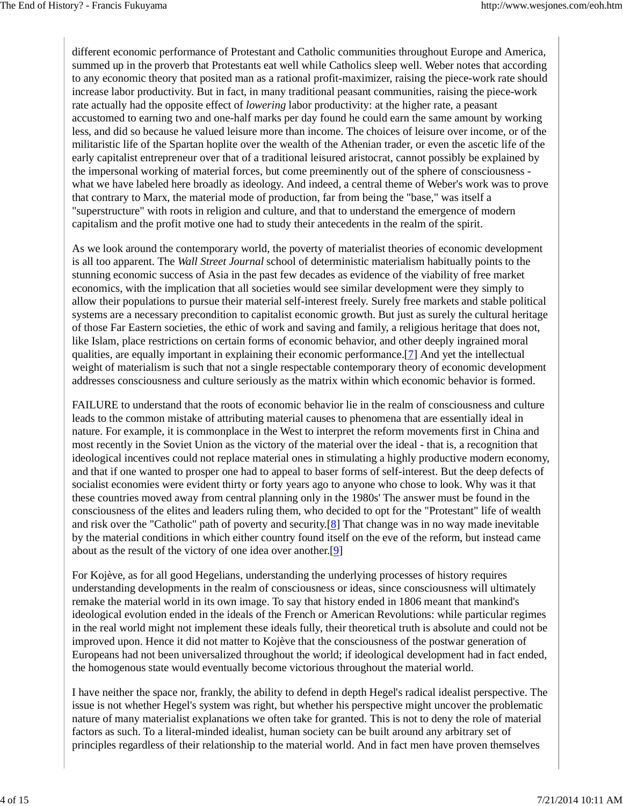different economic performance of Protestant and Catholic communities throughout Europe and America, summed up in the proverb that Protestants eat well while Catholics sleep well. Weber notes that according to any economic theory that posited man as a rational profit-maximizer, raising the piece-work rate should increase labor productivity. But in fact, in many traditional peasant communities, raising the piece-work rate actually had the opposite effect of *lowering* labor productivity: at the higher rate, a peasant accustomed to earning two and one-half marks per day found he could earn the same amount by working less, and did so because he valued leisure more than income. The choices of leisure over income, or of the militaristic life of the Spartan hoplite over the wealth of the Athenian trader, or even the ascetic life of the early capitalist entrepreneur over that of a traditional leisured aristocrat, cannot possibly be explained by the impersonal working of material forces, but come preeminently out of the sphere of consciousness what we have labeled here broadly as ideology. And indeed, a central theme of Weber's work was to prove that contrary to Marx, the material mode of production, far from being the "base," was itself a "superstructure" with roots in religion and culture, and that to understand the emergence of modern capitalism and the profit motive one had to study their antecedents in the realm of the spirit.

As we look around the contemporary world, the poverty of materialist theories of economic development is all too apparent. The *Wall Street Journal* school of deterministic materialism habitually points to the stunning economic success of Asia in the past few decades as evidence of the viability of free market economics, with the implication that all societies would see similar development were they simply to allow their populations to pursue their material self-interest freely. Surely free markets and stable political systems are a necessary precondition to capitalist economic growth. But just as surely the cultural heritage of those Far Eastern societies, the ethic of work and saving and family, a religious heritage that does not, like Islam, place restrictions on certain forms of economic behavior, and other deeply ingrained moral qualities, are equally important in explaining their economic performance.[7] And yet the intellectual weight of materialism is such that not a single respectable contemporary theory of economic development addresses consciousness and culture seriously as the matrix within which economic behavior is formed.

FAILURE to understand that the roots of economic behavior lie in the realm of consciousness and culture leads to the common mistake of attributing material causes to phenomena that are essentially ideal in nature. For example, it is commonplace in the West to interpret the reform movements first in China and most recently in the Soviet Union as the victory of the material over the ideal - that is, a recognition that ideological incentives could not replace material ones in stimulating a highly productive modern economy, and that if one wanted to prosper one had to appeal to baser forms of self-interest. But the deep defects of socialist economies were evident thirty or forty years ago to anyone who chose to look. Why was it that these countries moved away from central planning only in the 1980s' The answer must be found in the consciousness of the elites and leaders ruling them, who decided to opt for the "Protestant" life of wealth and risk over the "Catholic" path of poverty and security.[8] That change was in no way made inevitable by the material conditions in which either country found itself on the eve of the reform, but instead came about as the result of the victory of one idea over another.[9]

For Kojève, as for all good Hegelians, understanding the underlying processes of history requires understanding developments in the realm of consciousness or ideas, since consciousness will ultimately remake the material world in its own image. To say that history ended in 1806 meant that mankind's ideological evolution ended in the ideals of the French or American Revolutions: while particular regimes in the real world might not implement these ideals fully, their theoretical truth is absolute and could not be improved upon. Hence it did not matter to Kojève that the consciousness of the postwar generation of Europeans had not been universalized throughout the world; if ideological development had in fact ended, the homogenous state would eventually become victorious throughout the material world.

I have neither the space nor, frankly, the ability to defend in depth Hegel's radical idealist perspective. The issue is not whether Hegel's system was right, but whether his perspective might uncover the problematic nature of many materialist explanations we often take for granted. This is not to deny the role of material factors as such. To a literal-minded idealist, human society can be built around any arbitrary set of principles regardless of their relationship to the material world. And in fact men have proven themselves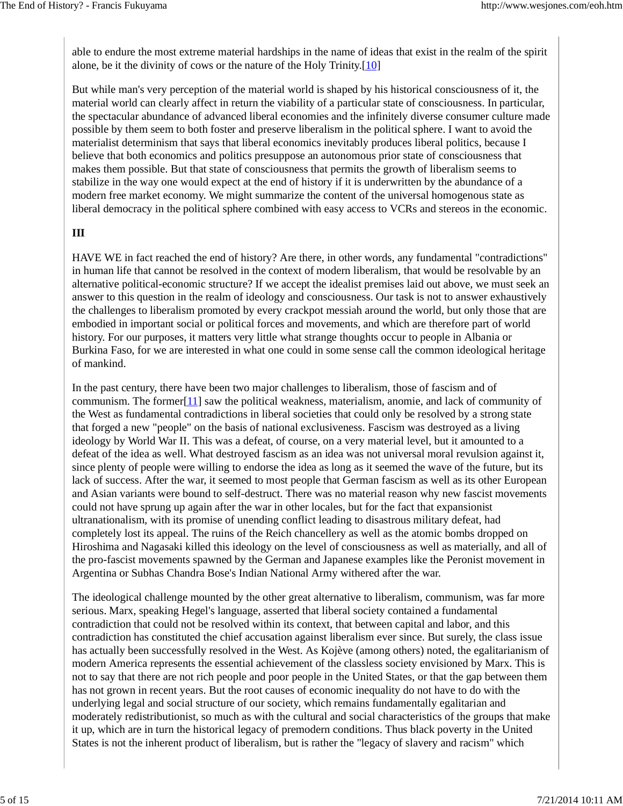able to endure the most extreme material hardships in the name of ideas that exist in the realm of the spirit alone, be it the divinity of cows or the nature of the Holy Trinity.[10]

But while man's very perception of the material world is shaped by his historical consciousness of it, the material world can clearly affect in return the viability of a particular state of consciousness. In particular, the spectacular abundance of advanced liberal economies and the infinitely diverse consumer culture made possible by them seem to both foster and preserve liberalism in the political sphere. I want to avoid the materialist determinism that says that liberal economics inevitably produces liberal politics, because I believe that both economics and politics presuppose an autonomous prior state of consciousness that makes them possible. But that state of consciousness that permits the growth of liberalism seems to stabilize in the way one would expect at the end of history if it is underwritten by the abundance of a modern free market economy. We might summarize the content of the universal homogenous state as liberal democracy in the political sphere combined with easy access to VCRs and stereos in the economic.

## **III**

HAVE WE in fact reached the end of history? Are there, in other words, any fundamental "contradictions" in human life that cannot be resolved in the context of modern liberalism, that would be resolvable by an alternative political-economic structure? If we accept the idealist premises laid out above, we must seek an answer to this question in the realm of ideology and consciousness. Our task is not to answer exhaustively the challenges to liberalism promoted by every crackpot messiah around the world, but only those that are embodied in important social or political forces and movements, and which are therefore part of world history. For our purposes, it matters very little what strange thoughts occur to people in Albania or Burkina Faso, for we are interested in what one could in some sense call the common ideological heritage of mankind.

In the past century, there have been two major challenges to liberalism, those of fascism and of communism. The former[11] saw the political weakness, materialism, anomie, and lack of community of the West as fundamental contradictions in liberal societies that could only be resolved by a strong state that forged a new "people" on the basis of national exclusiveness. Fascism was destroyed as a living ideology by World War II. This was a defeat, of course, on a very material level, but it amounted to a defeat of the idea as well. What destroyed fascism as an idea was not universal moral revulsion against it, since plenty of people were willing to endorse the idea as long as it seemed the wave of the future, but its lack of success. After the war, it seemed to most people that German fascism as well as its other European and Asian variants were bound to self-destruct. There was no material reason why new fascist movements could not have sprung up again after the war in other locales, but for the fact that expansionist ultranationalism, with its promise of unending conflict leading to disastrous military defeat, had completely lost its appeal. The ruins of the Reich chancellery as well as the atomic bombs dropped on Hiroshima and Nagasaki killed this ideology on the level of consciousness as well as materially, and all of the pro-fascist movements spawned by the German and Japanese examples like the Peronist movement in Argentina or Subhas Chandra Bose's Indian National Army withered after the war.

The ideological challenge mounted by the other great alternative to liberalism, communism, was far more serious. Marx, speaking Hegel's language, asserted that liberal society contained a fundamental contradiction that could not be resolved within its context, that between capital and labor, and this contradiction has constituted the chief accusation against liberalism ever since. But surely, the class issue has actually been successfully resolved in the West. As Kojève (among others) noted, the egalitarianism of modern America represents the essential achievement of the classless society envisioned by Marx. This is not to say that there are not rich people and poor people in the United States, or that the gap between them has not grown in recent years. But the root causes of economic inequality do not have to do with the underlying legal and social structure of our society, which remains fundamentally egalitarian and moderately redistributionist, so much as with the cultural and social characteristics of the groups that make it up, which are in turn the historical legacy of premodern conditions. Thus black poverty in the United States is not the inherent product of liberalism, but is rather the "legacy of slavery and racism" which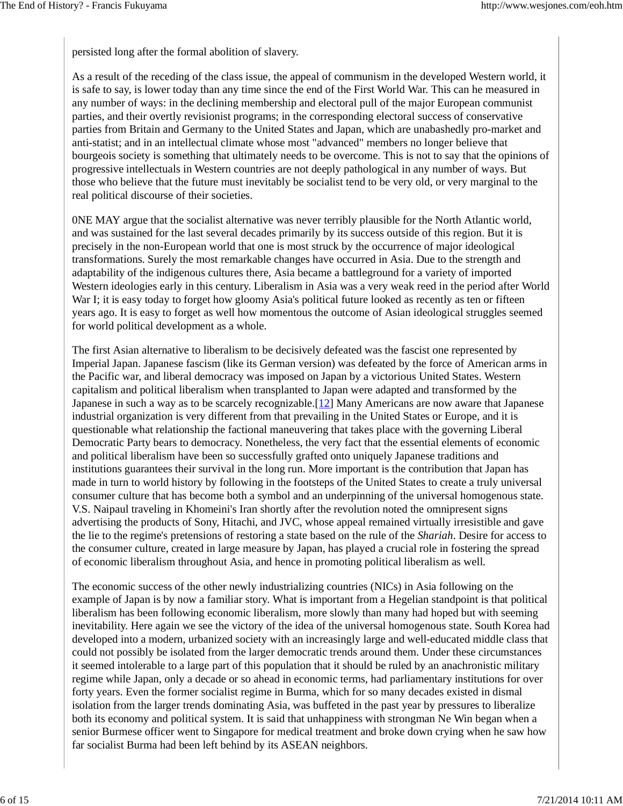persisted long after the formal abolition of slavery.

As a result of the receding of the class issue, the appeal of communism in the developed Western world, it is safe to say, is lower today than any time since the end of the First World War. This can he measured in any number of ways: in the declining membership and electoral pull of the major European communist parties, and their overtly revisionist programs; in the corresponding electoral success of conservative parties from Britain and Germany to the United States and Japan, which are unabashedly pro-market and anti-statist; and in an intellectual climate whose most "advanced" members no longer believe that bourgeois society is something that ultimately needs to be overcome. This is not to say that the opinions of progressive intellectuals in Western countries are not deeply pathological in any number of ways. But those who believe that the future must inevitably be socialist tend to be very old, or very marginal to the real political discourse of their societies.

0NE MAY argue that the socialist alternative was never terribly plausible for the North Atlantic world, and was sustained for the last several decades primarily by its success outside of this region. But it is precisely in the non-European world that one is most struck by the occurrence of major ideological transformations. Surely the most remarkable changes have occurred in Asia. Due to the strength and adaptability of the indigenous cultures there, Asia became a battleground for a variety of imported Western ideologies early in this century. Liberalism in Asia was a very weak reed in the period after World War I; it is easy today to forget how gloomy Asia's political future looked as recently as ten or fifteen years ago. It is easy to forget as well how momentous the outcome of Asian ideological struggles seemed for world political development as a whole.

The first Asian alternative to liberalism to be decisively defeated was the fascist one represented by Imperial Japan. Japanese fascism (like its German version) was defeated by the force of American arms in the Pacific war, and liberal democracy was imposed on Japan by a victorious United States. Western capitalism and political liberalism when transplanted to Japan were adapted and transformed by the Japanese in such a way as to be scarcely recognizable.[12] Many Americans are now aware that Japanese industrial organization is very different from that prevailing in the United States or Europe, and it is questionable what relationship the factional maneuvering that takes place with the governing Liberal Democratic Party bears to democracy. Nonetheless, the very fact that the essential elements of economic and political liberalism have been so successfully grafted onto uniquely Japanese traditions and institutions guarantees their survival in the long run. More important is the contribution that Japan has made in turn to world history by following in the footsteps of the United States to create a truly universal consumer culture that has become both a symbol and an underpinning of the universal homogenous state. V.S. Naipaul traveling in Khomeini's Iran shortly after the revolution noted the omnipresent signs advertising the products of Sony, Hitachi, and JVC, whose appeal remained virtually irresistible and gave the lie to the regime's pretensions of restoring a state based on the rule of the *Shariah*. Desire for access to the consumer culture, created in large measure by Japan, has played a crucial role in fostering the spread of economic liberalism throughout Asia, and hence in promoting political liberalism as well.

The economic success of the other newly industrializing countries (NICs) in Asia following on the example of Japan is by now a familiar story. What is important from a Hegelian standpoint is that political liberalism has been following economic liberalism, more slowly than many had hoped but with seeming inevitability. Here again we see the victory of the idea of the universal homogenous state. South Korea had developed into a modern, urbanized society with an increasingly large and well-educated middle class that could not possibly be isolated from the larger democratic trends around them. Under these circumstances it seemed intolerable to a large part of this population that it should be ruled by an anachronistic military regime while Japan, only a decade or so ahead in economic terms, had parliamentary institutions for over forty years. Even the former socialist regime in Burma, which for so many decades existed in dismal isolation from the larger trends dominating Asia, was buffeted in the past year by pressures to liberalize both its economy and political system. It is said that unhappiness with strongman Ne Win began when a senior Burmese officer went to Singapore for medical treatment and broke down crying when he saw how far socialist Burma had been left behind by its ASEAN neighbors.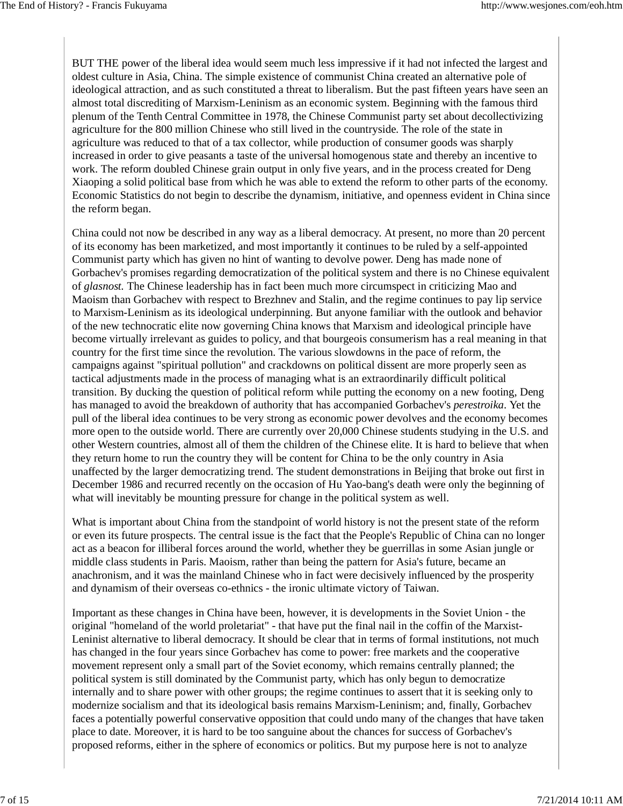BUT THE power of the liberal idea would seem much less impressive if it had not infected the largest and oldest culture in Asia, China. The simple existence of communist China created an alternative pole of ideological attraction, and as such constituted a threat to liberalism. But the past fifteen years have seen an almost total discrediting of Marxism-Leninism as an economic system. Beginning with the famous third plenum of the Tenth Central Committee in 1978, the Chinese Communist party set about decollectivizing agriculture for the 800 million Chinese who still lived in the countryside. The role of the state in agriculture was reduced to that of a tax collector, while production of consumer goods was sharply increased in order to give peasants a taste of the universal homogenous state and thereby an incentive to work. The reform doubled Chinese grain output in only five years, and in the process created for Deng Xiaoping a solid political base from which he was able to extend the reform to other parts of the economy. Economic Statistics do not begin to describe the dynamism, initiative, and openness evident in China since the reform began.

China could not now be described in any way as a liberal democracy. At present, no more than 20 percent of its economy has been marketized, and most importantly it continues to be ruled by a self-appointed Communist party which has given no hint of wanting to devolve power. Deng has made none of Gorbachev's promises regarding democratization of the political system and there is no Chinese equivalent of *glasnost.* The Chinese leadership has in fact been much more circumspect in criticizing Mao and Maoism than Gorbachev with respect to Brezhnev and Stalin, and the regime continues to pay lip service to Marxism-Leninism as its ideological underpinning. But anyone familiar with the outlook and behavior of the new technocratic elite now governing China knows that Marxism and ideological principle have become virtually irrelevant as guides to policy, and that bourgeois consumerism has a real meaning in that country for the first time since the revolution. The various slowdowns in the pace of reform, the campaigns against "spiritual pollution" and crackdowns on political dissent are more properly seen as tactical adjustments made in the process of managing what is an extraordinarily difficult political transition. By ducking the question of political reform while putting the economy on a new footing, Deng has managed to avoid the breakdown of authority that has accompanied Gorbachev's *perestroika*. Yet the pull of the liberal idea continues to be very strong as economic power devolves and the economy becomes more open to the outside world. There are currently over 20,000 Chinese students studying in the U.S. and other Western countries, almost all of them the children of the Chinese elite. It is hard to believe that when they return home to run the country they will be content for China to be the only country in Asia unaffected by the larger democratizing trend. The student demonstrations in Beijing that broke out first in December 1986 and recurred recently on the occasion of Hu Yao-bang's death were only the beginning of what will inevitably be mounting pressure for change in the political system as well.

What is important about China from the standpoint of world history is not the present state of the reform or even its future prospects. The central issue is the fact that the People's Republic of China can no longer act as a beacon for illiberal forces around the world, whether they be guerrillas in some Asian jungle or middle class students in Paris. Maoism, rather than being the pattern for Asia's future, became an anachronism, and it was the mainland Chinese who in fact were decisively influenced by the prosperity and dynamism of their overseas co-ethnics - the ironic ultimate victory of Taiwan.

Important as these changes in China have been, however, it is developments in the Soviet Union - the original "homeland of the world proletariat" - that have put the final nail in the coffin of the Marxist-Leninist alternative to liberal democracy. It should be clear that in terms of formal institutions, not much has changed in the four years since Gorbachev has come to power: free markets and the cooperative movement represent only a small part of the Soviet economy, which remains centrally planned; the political system is still dominated by the Communist party, which has only begun to democratize internally and to share power with other groups; the regime continues to assert that it is seeking only to modernize socialism and that its ideological basis remains Marxism-Leninism; and, finally, Gorbachev faces a potentially powerful conservative opposition that could undo many of the changes that have taken place to date. Moreover, it is hard to be too sanguine about the chances for success of Gorbachev's proposed reforms, either in the sphere of economics or politics. But my purpose here is not to analyze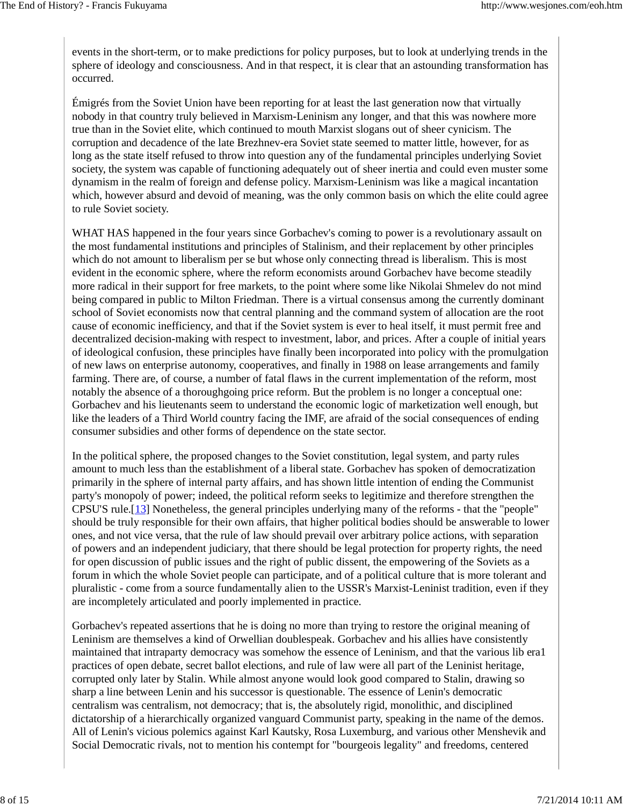events in the short-term, or to make predictions for policy purposes, but to look at underlying trends in the sphere of ideology and consciousness. And in that respect, it is clear that an astounding transformation has occurred.

Émigrés from the Soviet Union have been reporting for at least the last generation now that virtually nobody in that country truly believed in Marxism-Leninism any longer, and that this was nowhere more true than in the Soviet elite, which continued to mouth Marxist slogans out of sheer cynicism. The corruption and decadence of the late Brezhnev-era Soviet state seemed to matter little, however, for as long as the state itself refused to throw into question any of the fundamental principles underlying Soviet society, the system was capable of functioning adequately out of sheer inertia and could even muster some dynamism in the realm of foreign and defense policy. Marxism-Leninism was like a magical incantation which, however absurd and devoid of meaning, was the only common basis on which the elite could agree to rule Soviet society.

WHAT HAS happened in the four years since Gorbachev's coming to power is a revolutionary assault on the most fundamental institutions and principles of Stalinism, and their replacement by other principles which do not amount to liberalism per se but whose only connecting thread is liberalism. This is most evident in the economic sphere, where the reform economists around Gorbachev have become steadily more radical in their support for free markets, to the point where some like Nikolai Shmelev do not mind being compared in public to Milton Friedman. There is a virtual consensus among the currently dominant school of Soviet economists now that central planning and the command system of allocation are the root cause of economic inefficiency, and that if the Soviet system is ever to heal itself, it must permit free and decentralized decision-making with respect to investment, labor, and prices. After a couple of initial years of ideological confusion, these principles have finally been incorporated into policy with the promulgation of new laws on enterprise autonomy, cooperatives, and finally in 1988 on lease arrangements and family farming. There are, of course, a number of fatal flaws in the current implementation of the reform, most notably the absence of a thoroughgoing price reform. But the problem is no longer a conceptual one: Gorbachev and his lieutenants seem to understand the economic logic of marketization well enough, but like the leaders of a Third World country facing the IMF, are afraid of the social consequences of ending consumer subsidies and other forms of dependence on the state sector.

In the political sphere, the proposed changes to the Soviet constitution, legal system, and party rules amount to much less than the establishment of a liberal state. Gorbachev has spoken of democratization primarily in the sphere of internal party affairs, and has shown little intention of ending the Communist party's monopoly of power; indeed, the political reform seeks to legitimize and therefore strengthen the CPSU'S rule.[13] Nonetheless, the general principles underlying many of the reforms - that the "people" should be truly responsible for their own affairs, that higher political bodies should be answerable to lower ones, and not vice versa, that the rule of law should prevail over arbitrary police actions, with separation of powers and an independent judiciary, that there should be legal protection for property rights, the need for open discussion of public issues and the right of public dissent, the empowering of the Soviets as a forum in which the whole Soviet people can participate, and of a political culture that is more tolerant and pluralistic - come from a source fundamentally alien to the USSR's Marxist-Leninist tradition, even if they are incompletely articulated and poorly implemented in practice.

Gorbachev's repeated assertions that he is doing no more than trying to restore the original meaning of Leninism are themselves a kind of Orwellian doublespeak. Gorbachev and his allies have consistently maintained that intraparty democracy was somehow the essence of Leninism, and that the various lib era1 practices of open debate, secret ballot elections, and rule of law were all part of the Leninist heritage, corrupted only later by Stalin. While almost anyone would look good compared to Stalin, drawing so sharp a line between Lenin and his successor is questionable. The essence of Lenin's democratic centralism was centralism, not democracy; that is, the absolutely rigid, monolithic, and disciplined dictatorship of a hierarchically organized vanguard Communist party, speaking in the name of the demos. All of Lenin's vicious polemics against Karl Kautsky, Rosa Luxemburg, and various other Menshevik and Social Democratic rivals, not to mention his contempt for "bourgeois legality" and freedoms, centered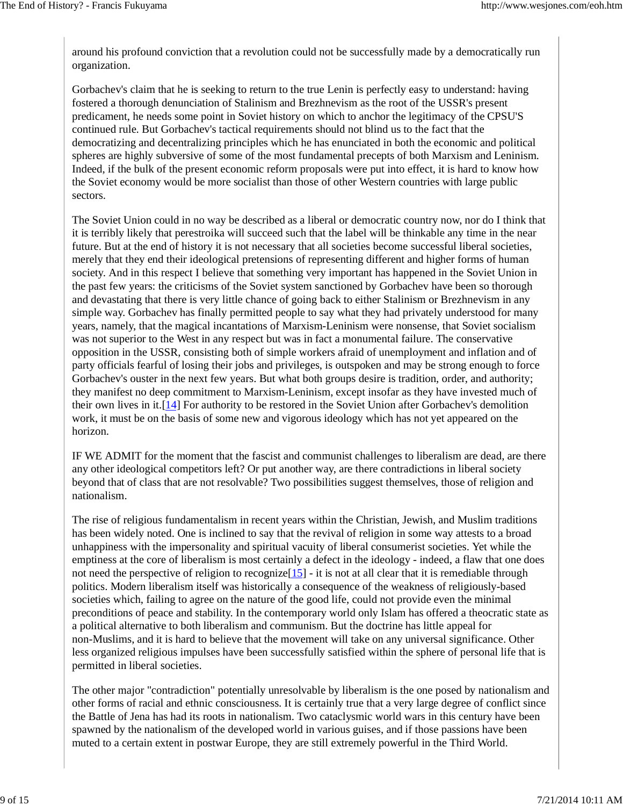around his profound conviction that a revolution could not be successfully made by a democratically run organization.

Gorbachev's claim that he is seeking to return to the true Lenin is perfectly easy to understand: having fostered a thorough denunciation of Stalinism and Brezhnevism as the root of the USSR's present predicament, he needs some point in Soviet history on which to anchor the legitimacy of the CPSU'S continued rule. But Gorbachev's tactical requirements should not blind us to the fact that the democratizing and decentralizing principles which he has enunciated in both the economic and political spheres are highly subversive of some of the most fundamental precepts of both Marxism and Leninism. Indeed, if the bulk of the present economic reform proposals were put into effect, it is hard to know how the Soviet economy would be more socialist than those of other Western countries with large public sectors.

The Soviet Union could in no way be described as a liberal or democratic country now, nor do I think that it is terribly likely that perestroika will succeed such that the label will be thinkable any time in the near future. But at the end of history it is not necessary that all societies become successful liberal societies, merely that they end their ideological pretensions of representing different and higher forms of human society. And in this respect I believe that something very important has happened in the Soviet Union in the past few years: the criticisms of the Soviet system sanctioned by Gorbachev have been so thorough and devastating that there is very little chance of going back to either Stalinism or Brezhnevism in any simple way. Gorbachev has finally permitted people to say what they had privately understood for many years, namely, that the magical incantations of Marxism-Leninism were nonsense, that Soviet socialism was not superior to the West in any respect but was in fact a monumental failure. The conservative opposition in the USSR, consisting both of simple workers afraid of unemployment and inflation and of party officials fearful of losing their jobs and privileges, is outspoken and may be strong enough to force Gorbachev's ouster in the next few years. But what both groups desire is tradition, order, and authority; they manifest no deep commitment to Marxism-Leninism, except insofar as they have invested much of their own lives in it.[14] For authority to be restored in the Soviet Union after Gorbachev's demolition work, it must be on the basis of some new and vigorous ideology which has not yet appeared on the horizon.

IF WE ADMIT for the moment that the fascist and communist challenges to liberalism are dead, are there any other ideological competitors left? Or put another way, are there contradictions in liberal society beyond that of class that are not resolvable? Two possibilities suggest themselves, those of religion and nationalism.

The rise of religious fundamentalism in recent years within the Christian, Jewish, and Muslim traditions has been widely noted. One is inclined to say that the revival of religion in some way attests to a broad unhappiness with the impersonality and spiritual vacuity of liberal consumerist societies. Yet while the emptiness at the core of liberalism is most certainly a defect in the ideology - indeed, a flaw that one does not need the perspective of religion to recognize $[15]$  - it is not at all clear that it is remediable through politics. Modern liberalism itself was historically a consequence of the weakness of religiously-based societies which, failing to agree on the nature of the good life, could not provide even the minimal preconditions of peace and stability. In the contemporary world only Islam has offered a theocratic state as a political alternative to both liberalism and communism. But the doctrine has little appeal for non-Muslims, and it is hard to believe that the movement will take on any universal significance. Other less organized religious impulses have been successfully satisfied within the sphere of personal life that is permitted in liberal societies.

The other major "contradiction" potentially unresolvable by liberalism is the one posed by nationalism and other forms of racial and ethnic consciousness. It is certainly true that a very large degree of conflict since the Battle of Jena has had its roots in nationalism. Two cataclysmic world wars in this century have been spawned by the nationalism of the developed world in various guises, and if those passions have been muted to a certain extent in postwar Europe, they are still extremely powerful in the Third World.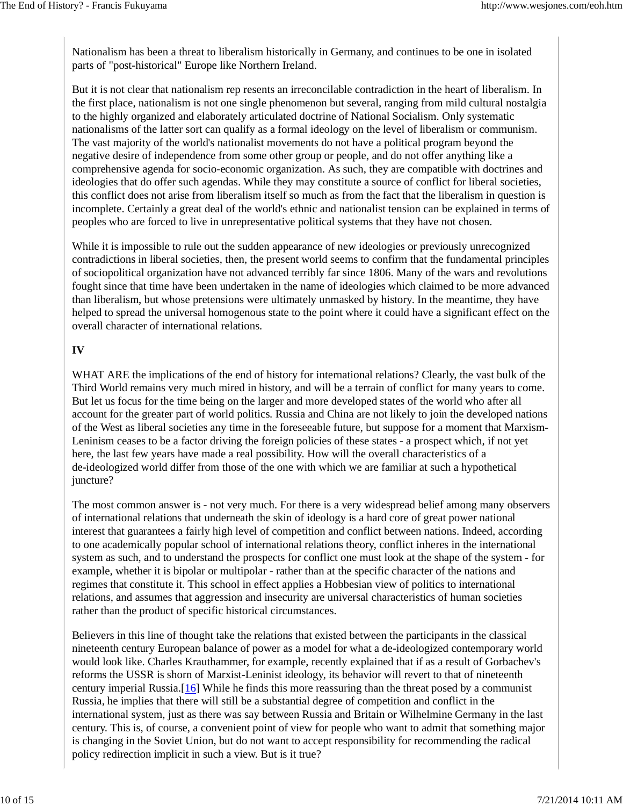Nationalism has been a threat to liberalism historically in Germany, and continues to be one in isolated parts of "post-historical" Europe like Northern Ireland.

But it is not clear that nationalism rep resents an irreconcilable contradiction in the heart of liberalism. In the first place, nationalism is not one single phenomenon but several, ranging from mild cultural nostalgia to the highly organized and elaborately articulated doctrine of National Socialism. Only systematic nationalisms of the latter sort can qualify as a formal ideology on the level of liberalism or communism. The vast majority of the world's nationalist movements do not have a political program beyond the negative desire of independence from some other group or people, and do not offer anything like a comprehensive agenda for socio-economic organization. As such, they are compatible with doctrines and ideologies that do offer such agendas. While they may constitute a source of conflict for liberal societies, this conflict does not arise from liberalism itself so much as from the fact that the liberalism in question is incomplete. Certainly a great deal of the world's ethnic and nationalist tension can be explained in terms of peoples who are forced to live in unrepresentative political systems that they have not chosen.

While it is impossible to rule out the sudden appearance of new ideologies or previously unrecognized contradictions in liberal societies, then, the present world seems to confirm that the fundamental principles of sociopolitical organization have not advanced terribly far since 1806. Many of the wars and revolutions fought since that time have been undertaken in the name of ideologies which claimed to be more advanced than liberalism, but whose pretensions were ultimately unmasked by history. In the meantime, they have helped to spread the universal homogenous state to the point where it could have a significant effect on the overall character of international relations.

#### **IV**

WHAT ARE the implications of the end of history for international relations? Clearly, the vast bulk of the Third World remains very much mired in history, and will be a terrain of conflict for many years to come. But let us focus for the time being on the larger and more developed states of the world who after all account for the greater part of world politics. Russia and China are not likely to join the developed nations of the West as liberal societies any time in the foreseeable future, but suppose for a moment that Marxism-Leninism ceases to be a factor driving the foreign policies of these states - a prospect which, if not yet here, the last few years have made a real possibility. How will the overall characteristics of a de-ideologized world differ from those of the one with which we are familiar at such a hypothetical juncture?

The most common answer is - not very much. For there is a very widespread belief among many observers of international relations that underneath the skin of ideology is a hard core of great power national interest that guarantees a fairly high level of competition and conflict between nations. Indeed, according to one academically popular school of international relations theory, conflict inheres in the international system as such, and to understand the prospects for conflict one must look at the shape of the system - for example, whether it is bipolar or multipolar - rather than at the specific character of the nations and regimes that constitute it. This school in effect applies a Hobbesian view of politics to international relations, and assumes that aggression and insecurity are universal characteristics of human societies rather than the product of specific historical circumstances.

Believers in this line of thought take the relations that existed between the participants in the classical nineteenth century European balance of power as a model for what a de-ideologized contemporary world would look like. Charles Krauthammer, for example, recently explained that if as a result of Gorbachev's reforms the USSR is shorn of Marxist-Leninist ideology, its behavior will revert to that of nineteenth century imperial Russia.[16] While he finds this more reassuring than the threat posed by a communist Russia, he implies that there will still be a substantial degree of competition and conflict in the international system, just as there was say between Russia and Britain or Wilhelmine Germany in the last century. This is, of course, a convenient point of view for people who want to admit that something major is changing in the Soviet Union, but do not want to accept responsibility for recommending the radical policy redirection implicit in such a view. But is it true?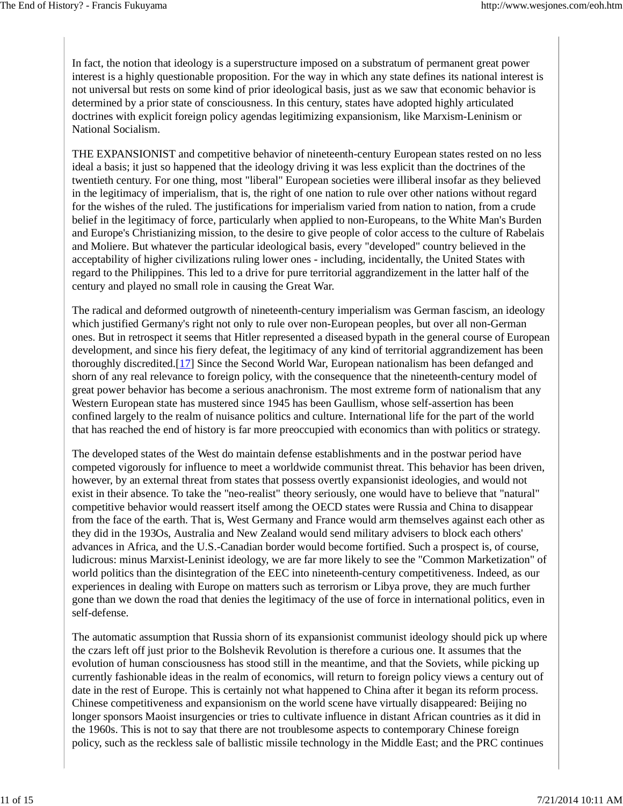In fact, the notion that ideology is a superstructure imposed on a substratum of permanent great power interest is a highly questionable proposition. For the way in which any state defines its national interest is not universal but rests on some kind of prior ideological basis, just as we saw that economic behavior is determined by a prior state of consciousness. In this century, states have adopted highly articulated doctrines with explicit foreign policy agendas legitimizing expansionism, like Marxism-Leninism or National Socialism.

THE EXPANSIONIST and competitive behavior of nineteenth-century European states rested on no less ideal a basis; it just so happened that the ideology driving it was less explicit than the doctrines of the twentieth century. For one thing, most "liberal" European societies were illiberal insofar as they believed in the legitimacy of imperialism, that is, the right of one nation to rule over other nations without regard for the wishes of the ruled. The justifications for imperialism varied from nation to nation, from a crude belief in the legitimacy of force, particularly when applied to non-Europeans, to the White Man's Burden and Europe's Christianizing mission, to the desire to give people of color access to the culture of Rabelais and Moliere. But whatever the particular ideological basis, every "developed" country believed in the acceptability of higher civilizations ruling lower ones - including, incidentally, the United States with regard to the Philippines. This led to a drive for pure territorial aggrandizement in the latter half of the century and played no small role in causing the Great War.

The radical and deformed outgrowth of nineteenth-century imperialism was German fascism, an ideology which justified Germany's right not only to rule over non-European peoples, but over all non-German ones. But in retrospect it seems that Hitler represented a diseased bypath in the general course of European development, and since his fiery defeat, the legitimacy of any kind of territorial aggrandizement has been thoroughly discredited.[17] Since the Second World War, European nationalism has been defanged and shorn of any real relevance to foreign policy, with the consequence that the nineteenth-century model of great power behavior has become a serious anachronism. The most extreme form of nationalism that any Western European state has mustered since 1945 has been Gaullism, whose self-assertion has been confined largely to the realm of nuisance politics and culture. International life for the part of the world that has reached the end of history is far more preoccupied with economics than with politics or strategy.

The developed states of the West do maintain defense establishments and in the postwar period have competed vigorously for influence to meet a worldwide communist threat. This behavior has been driven, however, by an external threat from states that possess overtly expansionist ideologies, and would not exist in their absence. To take the "neo-realist" theory seriously, one would have to believe that "natural" competitive behavior would reassert itself among the OECD states were Russia and China to disappear from the face of the earth. That is, West Germany and France would arm themselves against each other as they did in the 193Os, Australia and New Zealand would send military advisers to block each others' advances in Africa, and the U.S.-Canadian border would become fortified. Such a prospect is, of course, ludicrous: minus Marxist-Leninist ideology, we are far more likely to see the "Common Marketization" of world politics than the disintegration of the EEC into nineteenth-century competitiveness. Indeed, as our experiences in dealing with Europe on matters such as terrorism or Libya prove, they are much further gone than we down the road that denies the legitimacy of the use of force in international politics, even in self-defense.

The automatic assumption that Russia shorn of its expansionist communist ideology should pick up where the czars left off just prior to the Bolshevik Revolution is therefore a curious one. It assumes that the evolution of human consciousness has stood still in the meantime, and that the Soviets, while picking up currently fashionable ideas in the realm of economics, will return to foreign policy views a century out of date in the rest of Europe. This is certainly not what happened to China after it began its reform process. Chinese competitiveness and expansionism on the world scene have virtually disappeared: Beijing no longer sponsors Maoist insurgencies or tries to cultivate influence in distant African countries as it did in the 1960s. This is not to say that there are not troublesome aspects to contemporary Chinese foreign policy, such as the reckless sale of ballistic missile technology in the Middle East; and the PRC continues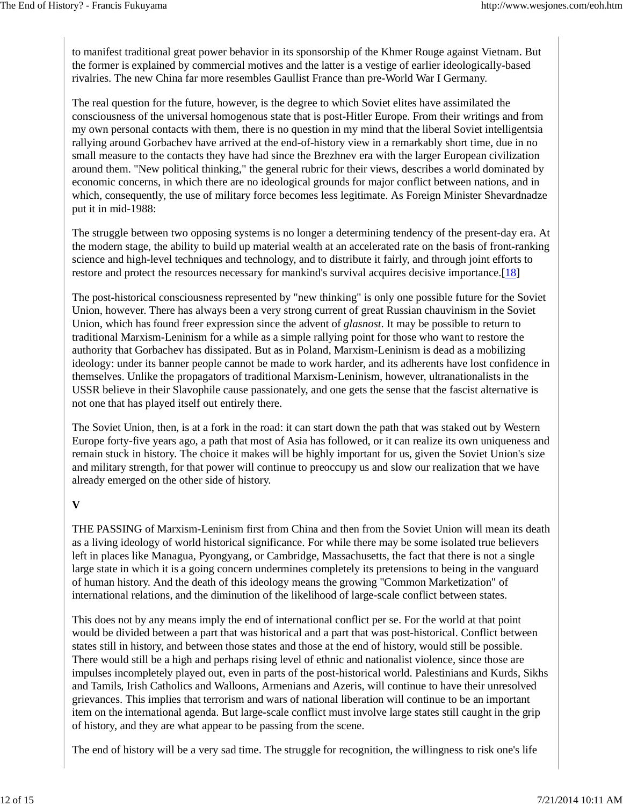to manifest traditional great power behavior in its sponsorship of the Khmer Rouge against Vietnam. But the former is explained by commercial motives and the latter is a vestige of earlier ideologically-based rivalries. The new China far more resembles Gaullist France than pre-World War I Germany.

The real question for the future, however, is the degree to which Soviet elites have assimilated the consciousness of the universal homogenous state that is post-Hitler Europe. From their writings and from my own personal contacts with them, there is no question in my mind that the liberal Soviet intelligentsia rallying around Gorbachev have arrived at the end-of-history view in a remarkably short time, due in no small measure to the contacts they have had since the Brezhnev era with the larger European civilization around them. "New political thinking," the general rubric for their views, describes a world dominated by economic concerns, in which there are no ideological grounds for major conflict between nations, and in which, consequently, the use of military force becomes less legitimate. As Foreign Minister Shevardnadze put it in mid-1988:

The struggle between two opposing systems is no longer a determining tendency of the present-day era. At the modern stage, the ability to build up material wealth at an accelerated rate on the basis of front-ranking science and high-level techniques and technology, and to distribute it fairly, and through joint efforts to restore and protect the resources necessary for mankind's survival acquires decisive importance. [18]

The post-historical consciousness represented by "new thinking" is only one possible future for the Soviet Union, however. There has always been a very strong current of great Russian chauvinism in the Soviet Union, which has found freer expression since the advent of *glasnost*. It may be possible to return to traditional Marxism-Leninism for a while as a simple rallying point for those who want to restore the authority that Gorbachev has dissipated. But as in Poland, Marxism-Leninism is dead as a mobilizing ideology: under its banner people cannot be made to work harder, and its adherents have lost confidence in themselves. Unlike the propagators of traditional Marxism-Leninism, however, ultranationalists in the USSR believe in their Slavophile cause passionately, and one gets the sense that the fascist alternative is not one that has played itself out entirely there.

The Soviet Union, then, is at a fork in the road: it can start down the path that was staked out by Western Europe forty-five years ago, a path that most of Asia has followed, or it can realize its own uniqueness and remain stuck in history. The choice it makes will be highly important for us, given the Soviet Union's size and military strength, for that power will continue to preoccupy us and slow our realization that we have already emerged on the other side of history.

#### **V**

THE PASSING of Marxism-Leninism first from China and then from the Soviet Union will mean its death as a living ideology of world historical significance. For while there may be some isolated true believers left in places like Managua, Pyongyang, or Cambridge, Massachusetts, the fact that there is not a single large state in which it is a going concern undermines completely its pretensions to being in the vanguard of human history. And the death of this ideology means the growing "Common Marketization" of international relations, and the diminution of the likelihood of large-scale conflict between states.

This does not by any means imply the end of international conflict per se. For the world at that point would be divided between a part that was historical and a part that was post-historical. Conflict between states still in history, and between those states and those at the end of history, would still be possible. There would still be a high and perhaps rising level of ethnic and nationalist violence, since those are impulses incompletely played out, even in parts of the post-historical world. Palestinians and Kurds, Sikhs and Tamils, Irish Catholics and Walloons, Armenians and Azeris, will continue to have their unresolved grievances. This implies that terrorism and wars of national liberation will continue to be an important item on the international agenda. But large-scale conflict must involve large states still caught in the grip of history, and they are what appear to be passing from the scene.

The end of history will be a very sad time. The struggle for recognition, the willingness to risk one's life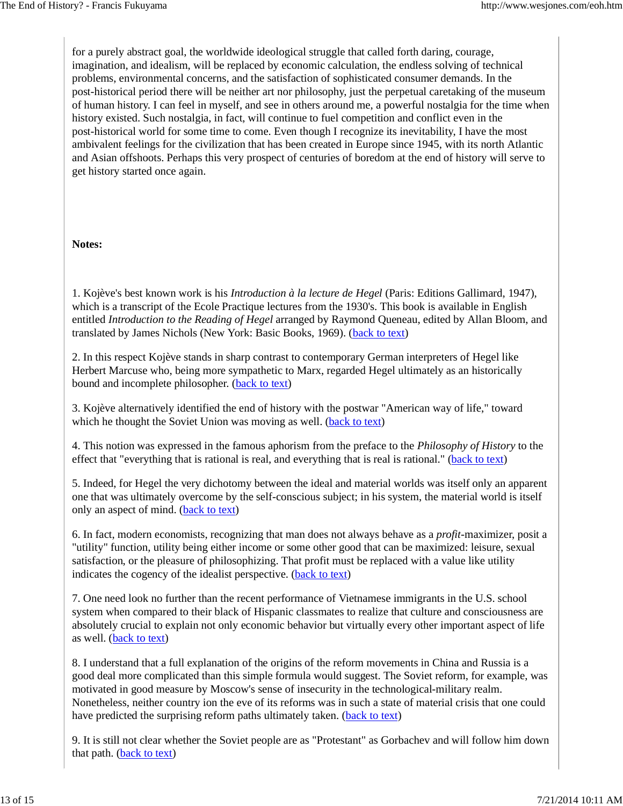for a purely abstract goal, the worldwide ideological struggle that called forth daring, courage, imagination, and idealism, will be replaced by economic calculation, the endless solving of technical problems, environmental concerns, and the satisfaction of sophisticated consumer demands. In the post-historical period there will be neither art nor philosophy, just the perpetual caretaking of the museum of human history. I can feel in myself, and see in others around me, a powerful nostalgia for the time when history existed. Such nostalgia, in fact, will continue to fuel competition and conflict even in the post-historical world for some time to come. Even though I recognize its inevitability, I have the most ambivalent feelings for the civilization that has been created in Europe since 1945, with its north Atlantic and Asian offshoots. Perhaps this very prospect of centuries of boredom at the end of history will serve to get history started once again.

**Notes:**

1. Kojève's best known work is his *Introduction à la lecture de Hegel* (Paris: Editions Gallimard, 1947), which is a transcript of the Ecole Practique lectures from the 1930's. This book is available in English entitled *Introduction to the Reading of Hegel* arranged by Raymond Queneau, edited by Allan Bloom, and translated by James Nichols (New York: Basic Books, 1969). (back to text)

2. In this respect Kojève stands in sharp contrast to contemporary German interpreters of Hegel like Herbert Marcuse who, being more sympathetic to Marx, regarded Hegel ultimately as an historically bound and incomplete philosopher. (back to text)

3. Kojève alternatively identified the end of history with the postwar "American way of life," toward which he thought the Soviet Union was moving as well. (back to text)

4. This notion was expressed in the famous aphorism from the preface to the *Philosophy of History* to the effect that "everything that is rational is real, and everything that is real is rational." (back to text)

5. Indeed, for Hegel the very dichotomy between the ideal and material worlds was itself only an apparent one that was ultimately overcome by the self-conscious subject; in his system, the material world is itself only an aspect of mind. (back to text)

6. In fact, modern economists, recognizing that man does not always behave as a *profit*-maximizer, posit a "utility" function, utility being either income or some other good that can be maximized: leisure, sexual satisfaction, or the pleasure of philosophizing. That profit must be replaced with a value like utility indicates the cogency of the idealist perspective. (back to text)

7. One need look no further than the recent performance of Vietnamese immigrants in the U.S. school system when compared to their black of Hispanic classmates to realize that culture and consciousness are absolutely crucial to explain not only economic behavior but virtually every other important aspect of life as well. (back to text)

8. I understand that a full explanation of the origins of the reform movements in China and Russia is a good deal more complicated than this simple formula would suggest. The Soviet reform, for example, was motivated in good measure by Moscow's sense of insecurity in the technological-military realm. Nonetheless, neither country ion the eve of its reforms was in such a state of material crisis that one could have predicted the surprising reform paths ultimately taken. (back to text)

9. It is still not clear whether the Soviet people are as "Protestant" as Gorbachev and will follow him down that path. (back to text)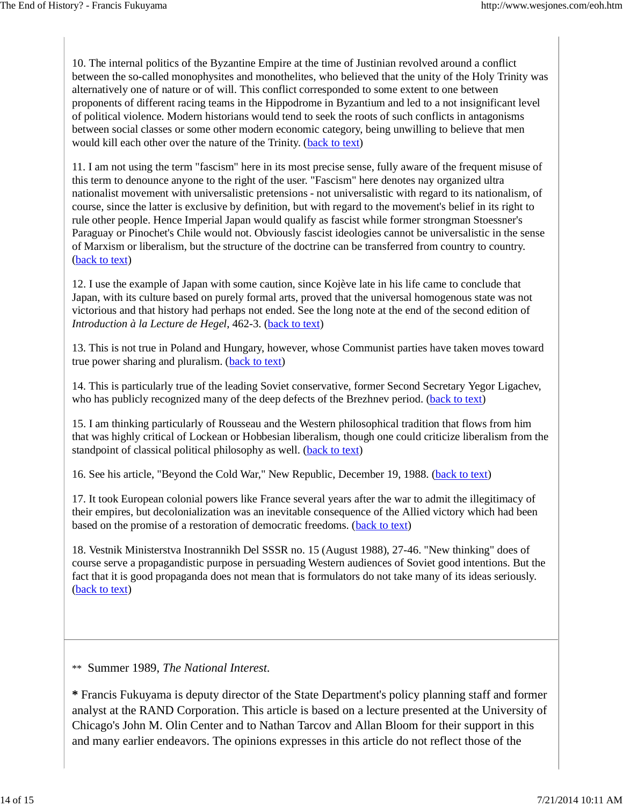10. The internal politics of the Byzantine Empire at the time of Justinian revolved around a conflict between the so-called monophysites and monothelites, who believed that the unity of the Holy Trinity was alternatively one of nature or of will. This conflict corresponded to some extent to one between proponents of different racing teams in the Hippodrome in Byzantium and led to a not insignificant level of political violence. Modern historians would tend to seek the roots of such conflicts in antagonisms between social classes or some other modern economic category, being unwilling to believe that men would kill each other over the nature of the Trinity. (back to text)

11. I am not using the term "fascism" here in its most precise sense, fully aware of the frequent misuse of this term to denounce anyone to the right of the user. "Fascism" here denotes nay organized ultra nationalist movement with universalistic pretensions - not universalistic with regard to its nationalism, of course, since the latter is exclusive by definition, but with regard to the movement's belief in its right to rule other people. Hence Imperial Japan would qualify as fascist while former strongman Stoessner's Paraguay or Pinochet's Chile would not. Obviously fascist ideologies cannot be universalistic in the sense of Marxism or liberalism, but the structure of the doctrine can be transferred from country to country. (back to text)

12. I use the example of Japan with some caution, since Kojève late in his life came to conclude that Japan, with its culture based on purely formal arts, proved that the universal homogenous state was not victorious and that history had perhaps not ended. See the long note at the end of the second edition of *Introduction à la Lecture de Hegel*, 462-3. (back to text)

13. This is not true in Poland and Hungary, however, whose Communist parties have taken moves toward true power sharing and pluralism. (back to text)

14. This is particularly true of the leading Soviet conservative, former Second Secretary Yegor Ligachev, who has publicly recognized many of the deep defects of the Brezhnev period. (back to text)

15. I am thinking particularly of Rousseau and the Western philosophical tradition that flows from him that was highly critical of Lockean or Hobbesian liberalism, though one could criticize liberalism from the standpoint of classical political philosophy as well. (back to text)

16. See his article, "Beyond the Cold War," New Republic, December 19, 1988. (back to text)

17. It took European colonial powers like France several years after the war to admit the illegitimacy of their empires, but decolonialization was an inevitable consequence of the Allied victory which had been based on the promise of a restoration of democratic freedoms. (back to text)

18. Vestnik Ministerstva Inostrannikh Del SSSR no. 15 (August 1988), 27-46. "New thinking" does of course serve a propagandistic purpose in persuading Western audiences of Soviet good intentions. But the fact that it is good propaganda does not mean that is formulators do not take many of its ideas seriously. (back to text)

\*\* Summer 1989, *The National Interest*.

**\*** Francis Fukuyama is deputy director of the State Department's policy planning staff and former analyst at the RAND Corporation. This article is based on a lecture presented at the University of Chicago's John M. Olin Center and to Nathan Tarcov and Allan Bloom for their support in this and many earlier endeavors. The opinions expresses in this article do not reflect those of the